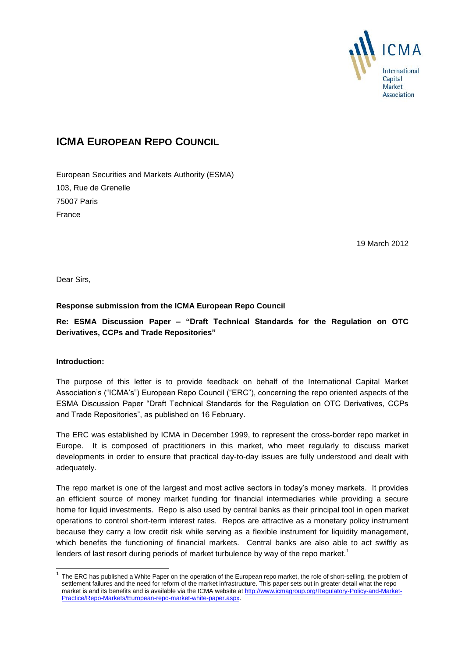

# **ICMA EUROPEAN REPO COUNCIL**

European Securities and Markets Authority (ESMA) 103, Rue de Grenelle 75007 Paris France

19 March 2012

Dear Sirs,

# **Response submission from the ICMA European Repo Council**

**Re: ESMA Discussion Paper – "Draft Technical Standards for the Regulation on OTC Derivatives, CCPs and Trade Repositories"**

## **Introduction:**

-

The purpose of this letter is to provide feedback on behalf of the International Capital Market Association's ("ICMA's") European Repo Council ("ERC"), concerning the repo oriented aspects of the ESMA Discussion Paper "Draft Technical Standards for the Regulation on OTC Derivatives, CCPs and Trade Repositories", as published on 16 February.

The ERC was established by ICMA in December 1999, to represent the cross-border repo market in Europe. It is composed of practitioners in this market, who meet regularly to discuss market developments in order to ensure that practical day-to-day issues are fully understood and dealt with adequately.

The repo market is one of the largest and most active sectors in today's money markets. It provides an efficient source of money market funding for financial intermediaries while providing a secure home for liquid investments. Repo is also used by central banks as their principal tool in open market operations to control short-term interest rates. Repos are attractive as a monetary policy instrument because they carry a low credit risk while serving as a flexible instrument for liquidity management, which benefits the functioning of financial markets. Central banks are also able to act swiftly as lenders of last resort during periods of market turbulence by way of the repo market.<sup>1</sup>

<sup>1</sup> The ERC has published a White Paper on the operation of the European repo market, the role of short-selling, the problem of settlement failures and the need for reform of the market infrastructure. This paper sets out in greater detail what the repo market is and its benefits and is available via the ICMA website a[t http://www.icmagroup.org/Regulatory-Policy-and-Market-](http://www.icmagroup.org/Regulatory-Policy-and-Market-Practice/Repo-Markets/European-repo-market-white-paper.aspx)[Practice/Repo-Markets/European-repo-market-white-paper.aspx.](http://www.icmagroup.org/Regulatory-Policy-and-Market-Practice/Repo-Markets/European-repo-market-white-paper.aspx)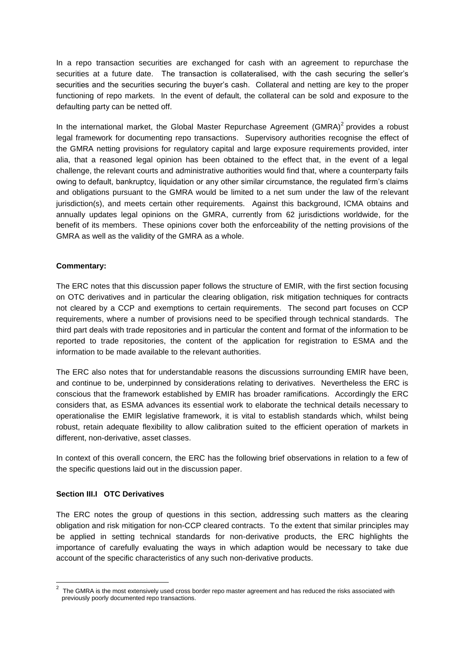In a repo transaction securities are exchanged for cash with an agreement to repurchase the securities at a future date. The transaction is collateralised, with the cash securing the seller's securities and the securities securing the buyer's cash. Collateral and netting are key to the proper functioning of repo markets. In the event of default, the collateral can be sold and exposure to the defaulting party can be netted off.

In the international market, the Global Master Repurchase Agreement (GMRA) $2$  provides a robust legal framework for documenting repo transactions. Supervisory authorities recognise the effect of the GMRA netting provisions for regulatory capital and large exposure requirements provided, inter alia, that a reasoned legal opinion has been obtained to the effect that, in the event of a legal challenge, the relevant courts and administrative authorities would find that, where a counterparty fails owing to default, bankruptcy, liquidation or any other similar circumstance, the regulated firm's claims and obligations pursuant to the GMRA would be limited to a net sum under the law of the relevant jurisdiction(s), and meets certain other requirements. Against this background, ICMA obtains and annually updates legal opinions on the GMRA, currently from 62 jurisdictions worldwide, for the benefit of its members. These opinions cover both the enforceability of the netting provisions of the GMRA as well as the validity of the GMRA as a whole.

#### **Commentary:**

The ERC notes that this discussion paper follows the structure of EMIR, with the first section focusing on OTC derivatives and in particular the clearing obligation, risk mitigation techniques for contracts not cleared by a CCP and exemptions to certain requirements. The second part focuses on CCP requirements, where a number of provisions need to be specified through technical standards. The third part deals with trade repositories and in particular the content and format of the information to be reported to trade repositories, the content of the application for registration to ESMA and the information to be made available to the relevant authorities.

The ERC also notes that for understandable reasons the discussions surrounding EMIR have been, and continue to be, underpinned by considerations relating to derivatives. Nevertheless the ERC is conscious that the framework established by EMIR has broader ramifications. Accordingly the ERC considers that, as ESMA advances its essential work to elaborate the technical details necessary to operationalise the EMIR legislative framework, it is vital to establish standards which, whilst being robust, retain adequate flexibility to allow calibration suited to the efficient operation of markets in different, non-derivative, asset classes.

In context of this overall concern, the ERC has the following brief observations in relation to a few of the specific questions laid out in the discussion paper.

#### **Section III.I OTC Derivatives**

The ERC notes the group of questions in this section, addressing such matters as the clearing obligation and risk mitigation for non-CCP cleared contracts. To the extent that similar principles may be applied in setting technical standards for non-derivative products, the ERC highlights the importance of carefully evaluating the ways in which adaption would be necessary to take due account of the specific characteristics of any such non-derivative products.

 2 The GMRA is the most extensively used cross border repo master agreement and has reduced the risks associated with previously poorly documented repo transactions.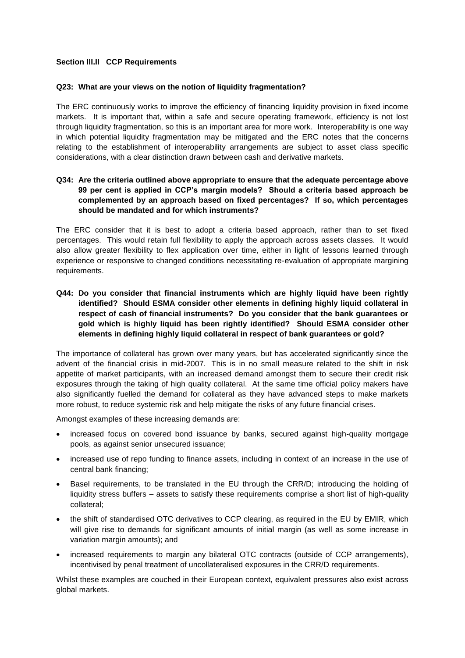## **Section III.II CCP Requirements**

#### **Q23: What are your views on the notion of liquidity fragmentation?**

The ERC continuously works to improve the efficiency of financing liquidity provision in fixed income markets. It is important that, within a safe and secure operating framework, efficiency is not lost through liquidity fragmentation, so this is an important area for more work. Interoperability is one way in which potential liquidity fragmentation may be mitigated and the ERC notes that the concerns relating to the establishment of interoperability arrangements are subject to asset class specific considerations, with a clear distinction drawn between cash and derivative markets.

# **Q34: Are the criteria outlined above appropriate to ensure that the adequate percentage above 99 per cent is applied in CCP's margin models? Should a criteria based approach be complemented by an approach based on fixed percentages? If so, which percentages should be mandated and for which instruments?**

The ERC consider that it is best to adopt a criteria based approach, rather than to set fixed percentages. This would retain full flexibility to apply the approach across assets classes. It would also allow greater flexibility to flex application over time, either in light of lessons learned through experience or responsive to changed conditions necessitating re-evaluation of appropriate margining requirements.

**Q44: Do you consider that financial instruments which are highly liquid have been rightly identified? Should ESMA consider other elements in defining highly liquid collateral in respect of cash of financial instruments? Do you consider that the bank guarantees or gold which is highly liquid has been rightly identified? Should ESMA consider other elements in defining highly liquid collateral in respect of bank guarantees or gold?** 

The importance of collateral has grown over many years, but has accelerated significantly since the advent of the financial crisis in mid-2007. This is in no small measure related to the shift in risk appetite of market participants, with an increased demand amongst them to secure their credit risk exposures through the taking of high quality collateral. At the same time official policy makers have also significantly fuelled the demand for collateral as they have advanced steps to make markets more robust, to reduce systemic risk and help mitigate the risks of any future financial crises.

Amongst examples of these increasing demands are:

- increased focus on covered bond issuance by banks, secured against high-quality mortgage pools, as against senior unsecured issuance;
- increased use of repo funding to finance assets, including in context of an increase in the use of central bank financing;
- Basel requirements, to be translated in the EU through the CRR/D; introducing the holding of liquidity stress buffers – assets to satisfy these requirements comprise a short list of high-quality collateral;
- the shift of standardised OTC derivatives to CCP clearing, as required in the EU by EMIR, which will give rise to demands for significant amounts of initial margin (as well as some increase in variation margin amounts); and
- increased requirements to margin any bilateral OTC contracts (outside of CCP arrangements), incentivised by penal treatment of uncollateralised exposures in the CRR/D requirements.

Whilst these examples are couched in their European context, equivalent pressures also exist across global markets.